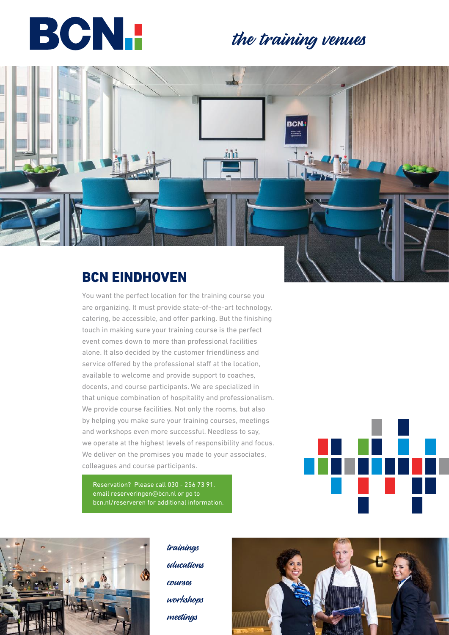

### the training venues



You want the perfect location for the training course you are organizing. It must provide state-of-the-art technology, catering, be accessible, and offer parking. But the finishing touch in making sure your training course is the perfect event comes down to more than professional facilities alone. It also decided by the customer friendliness and service offered by the professional staff at the location, available to welcome and provide support to coaches, docents, and course participants. We are specialized in that unique combination of hospitality and professionalism. We provide course facilities. Not only the rooms, but also by helping you make sure your training courses, meetings and workshops even more successful. Needless to say, we operate at the highest levels of responsibility and focus. We deliver on the promises you made to your associates, colleagues and course participants.

Reservation? Please call 030 - 256 73 91, email reserveringen@bcn.nl or go to bcn.nl/reserveren for additional information.





trainings educations courses workshops meetings

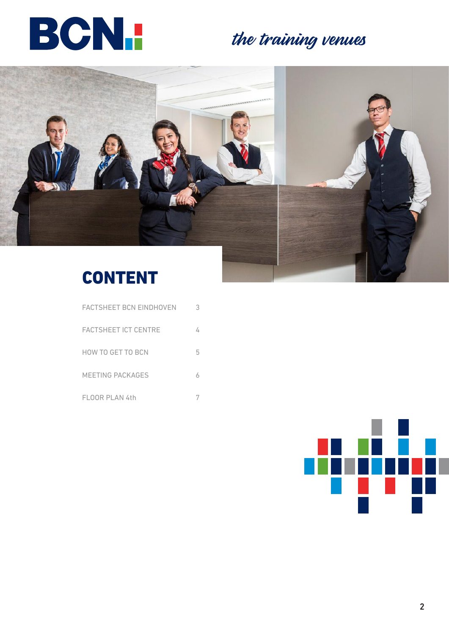

# the training venues





### CONTENT

| FACTSHEET BCN EINDHOVEN     |   |
|-----------------------------|---|
| <b>FACTSHEET ICT CENTRE</b> |   |
| HOW TO GET TO BCN           | 5 |
| <b>MEETING PACKAGES</b>     |   |
| <b>FLOOR PLAN 4th</b>       |   |

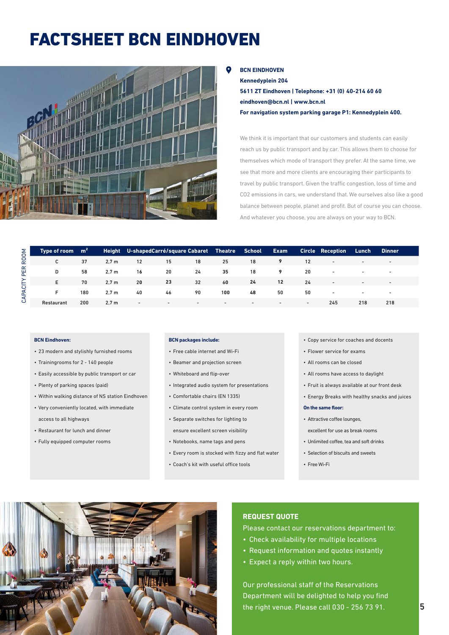## FACTSHEET BCN EINDHOVEN



### **BCN EINDHOVEN**

**Kennedyplein 204 5611 ZT Eindhoven | Telephone: +31 (0) 40-214 60 60 eindhoven@bcn.nl | www.bcn.nl For navigation system parking garage P1: Kennedyplein 400.**

We think it is important that our customers and students can easily reach us by public transport and by car. This allows them to choose for themselves which mode of transport they prefer. At the same time, we see that more and more clients are encouraging their participants to travel by public transport. Given the traffic congestion, loss of time and CO2 emissions in cars, we understand that. We ourselves also like a good balance between people, planet and profit. But of course you can choose. And whatever you choose, you are always on your way to BCN.

|        | Type of room | m <sup>2</sup> | Height           |                          | U-shapedCarré/square Cabaret Theatre School |                          |                          |                          | Exam                     |        | <b>Circle Reception</b>  | Lunch                    | <b>Dinner</b>            |  |
|--------|--------------|----------------|------------------|--------------------------|---------------------------------------------|--------------------------|--------------------------|--------------------------|--------------------------|--------|--------------------------|--------------------------|--------------------------|--|
| ROOM   | C            | 37             | 2.7 <sub>m</sub> | 12                       | 15                                          | 18                       | 25                       | 18                       |                          | 12     | $\overline{\phantom{a}}$ |                          | $\sim$                   |  |
| PER    | D            | 58             | 2.7 <sub>m</sub> | 16                       | 20                                          | 24                       | 35                       | 18                       |                          | 20     | $\overline{\phantom{a}}$ | $\overline{\phantom{0}}$ | $\overline{\phantom{a}}$ |  |
| ≻<br>ᄂ | E.           | 70             | 2.7 <sub>m</sub> | 20                       | 23                                          | 32                       | 60                       | 24                       | $12 \overline{ }$        | 24     | $\overline{\phantom{a}}$ |                          | $\sim$                   |  |
| ą<br>⋖ | Е.           | 180            | 2.7 <sub>m</sub> | 40                       | 46                                          | 90                       | 100                      | 48                       | 50                       | 50     | $\overline{\phantom{0}}$ | $\overline{\phantom{0}}$ | $\sim$                   |  |
| ت      | Restaurant   | 200            | 2.7 <sub>m</sub> | $\overline{\phantom{0}}$ | $\sim$                                      | $\overline{\phantom{a}}$ | $\overline{\phantom{a}}$ | $\overline{\phantom{0}}$ | $\overline{\phantom{a}}$ | $\sim$ | 245                      | 218                      | 218                      |  |

### **BCN Eindhoven:**

- 23 modern and stylishly furnished rooms
- Trainingrooms for 2 140 people
- Easily accessible by public transport or car
- Plenty of parking spaces (paid)
- Within walking distance of NS station Eindhoven
- Very conveniently located, with immediate access to all highways
- Restaurant for lunch and dinner
- Fully equipped computer rooms

#### **BCN packages include:**

- Free cable internet and Wi-Fi
- Beamer and projection screen
- Whiteboard and flip-over
- Integrated audio system for presentations
- Comfortable chairs (EN 1335)
- Climate control system in every room
- Separate switches for lighting to ensure excellent screen visibility
- Notebooks, name tags and pens
- Every room is stocked with fizzy and flat water
- Coach's kit with useful office tools
- Copy service for coaches and docents
- Flower service for exams
- All rooms can be closed
- All rooms have access to daylight
- Fruit is always available at our front desk
- Energy Breaks with healthy snacks and juices

### **On the same floor:**

• Attractive coffee lounges,

excellent for use as break rooms

- Unlimited coffee, tea and soft drinks
- Selection of biscuits and sweets
- Free Wi-Fi



### **REQUEST QUOTE**

Please contact our reservations department to:

- Check availability for multiple locations
- Request information and quotes instantly
- Expect a reply within two hours.

Our professional staff of the Reservations Department will be delighted to help you find the right venue. Please call 030 - 256 73 91.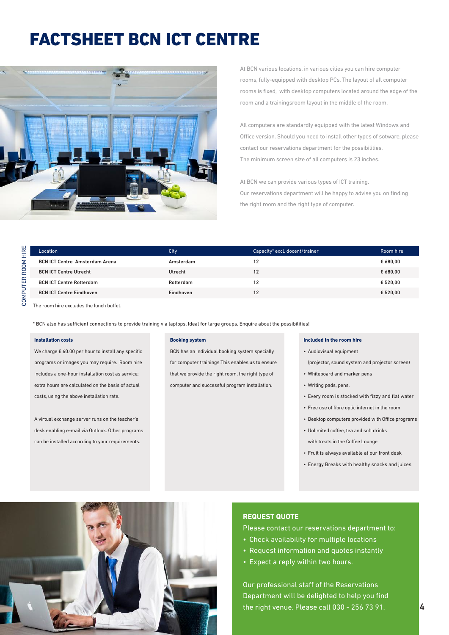### FACTSHEET BCN ICT CENTRE



At BCN various locations, in various cities you can hire computer rooms, fully-equipped with desktop PCs. The layout of all computer rooms is fixed, with desktop computers located around the edge of the room and a trainingsroom layout in the middle of the room.

All computers are standardly equipped with the latest Windows and Office version. Should you need to install other types of sotware, please contact our reservations department for the possibilities. The minimum screen size of all computers is 23 inches.

At BCN we can provide various types of ICT training. Our reservations department will be happy to advise you on finding the right room and the right type of computer.

| HIRE             | Location                                | City      | Capacity* excl. docent/trainer | Room hire |  |  |
|------------------|-----------------------------------------|-----------|--------------------------------|-----------|--|--|
| ROOM<br>TER<br>ä | <b>BCN ICT Centre Amsterdam Arena</b>   | Amsterdam | 12                             | € 680.00  |  |  |
|                  | <b>BCN ICT Centre Utrecht</b>           | Utrecht   | 12                             | € 680.00  |  |  |
|                  | <b>BCN ICT Centre Rotterdam</b>         | Rotterdam | 12                             | € 520.00  |  |  |
|                  | <b>BCN ICT Centre Eindhoven</b>         | Eindhoven | 12                             | € 520.00  |  |  |
| ŠΣ<br>Ċ          | The room hire eveludes the lungh buffet |           |                                |           |  |  |

The room hire excludes the lunch buffet.

\* BCN also has sufficient connections to provide training via laptops. Ideal for large groups. Enquire about the possibilities!

### **Installation costs**

We charge € 60.00 per hour to install any specific programs or images you may require. Room hire includes a one-hour installation cost as service; extra hours are calculated on the basis of actual costs, using the above installation rate.

A virtual exchange server runs on the teacher's desk enabling e-mail via Outlook. Other programs can be installed according to your requirements.

#### **Booking system**

BCN has an individual booking system specially for computer trainings.This enables us to ensure that we provide the right room, the right type of computer and successful program installation.

#### **Included in the room hire**

- Audiovisual equipment
- (projector, sound system and projector screen)
- Whiteboard and marker pens
- Writing pads, pens.
- Every room is stocked with fizzy and flat water
- Free use of fibre optic internet in the room
- Desktop computers provided with Office programs
- Unlimited coffee, tea and soft drinks with treats in the Coffee Lounge
- Fruit is always available at our front desk
- Energy Breaks with healthy snacks and juices



### **REQUEST QUOTE**

Please contact our reservations department to:

- Check availability for multiple locations
- Request information and quotes instantly
- Expect a reply within two hours.

Our professional staff of the Reservations Department will be delighted to help you find the right venue. Please call 030 - 256 73 91.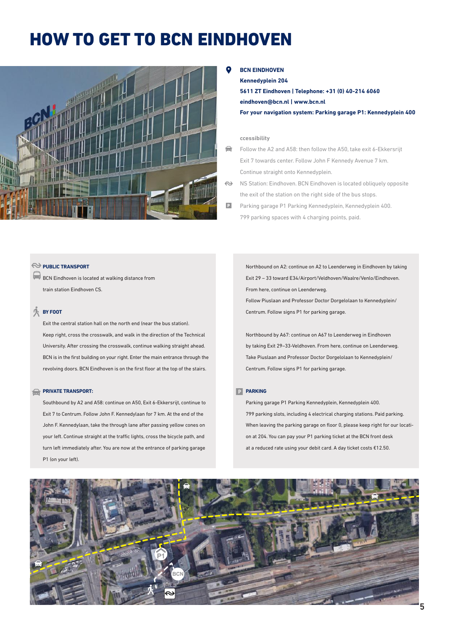### HOW TO GET TO BCN EINDHOVEN



**BCN EINDHOVEN**

**Kennedyplein 204 5611 ZT Eindhoven | Telephone: +31 (0) 40-214 6060 eindhoven@bcn.nl | www.bcn.nl For your navigation system: Parking garage P1: Kennedyplein 400**

### **ccessibility**

⇔ Follow the A2 and A58: then follow the A50, take exit 6-Ekkersrijt Exit 7 towards center. Follow John F Kennedy Avenue 7 km. Continue straight onto Kennedyplein.

 $\leftrightarrow$ NS Station: Eindhoven. BCN Eindhoven is located obliquely opposite the exit of the station on the right side of the bus stops.

 $\Box$ Parking garage P1 Parking Kennedyplein, Kennedyplein 400. 799 parking spaces with 4 charging points, paid.

### PUBLIC TRANSPORT

BCN Eindhoven is located at walking distance from train station Eindhoven CS.

### **BY FOOT**

Exit the central station hall on the north end (near the bus station). Keep right, cross the crosswalk, and walk in the direction of the Technical University. After crossing the crosswalk, continue walking straight ahead. BCN is in the first building on your right. Enter the main entrance through the revolving doors. BCN Eindhoven is on the first floor at the top of the stairs.

#### **PRIVATE TRANSPORT:**

Southbound by A2 and A58: continue on A50, Exit 6-Ekkersrijt, continue to Exit 7 to Centrum. Follow John F. Kennedylaan for 7 km. At the end of the John F. Kennedylaan, take the through lane after passing yellow cones on your left. Continue straight at the traffic lights, cross the bicycle path, and turn left immediately after. You are now at the entrance of parking garage P1 (on your left).

Northbound on A2: continue on A2 to Leenderweg in Eindhoven by taking Exit 29 – 33 toward E34/Airport/Veldhoven/Waalre/Venlo/Eindhoven. From here, continue on Leenderweg. Follow Piuslaan and Professor Doctor Dorgelolaan to Kennedyplein/ Centrum. Follow signs P1 for parking garage.

Northbound by A67: continue on A67 to Leenderweg in Eindhoven by taking Exit 29–33-Veldhoven. From here, continue on Leenderweg. Take Piuslaan and Professor Doctor Dorgelolaan to Kennedyplein/ Centrum. Follow signs P1 for parking garage.

### **PARKING**

Parking garage P1 Parking Kennedyplein, Kennedyplein 400. 799 parking slots, including 4 electrical charging stations. Paid parking. When leaving the parking garage on floor 0, please keep right for our location at 204. You can pay your P1 parking ticket at the BCN front desk at a reduced rate using your debit card. A day ticket costs €12.50.

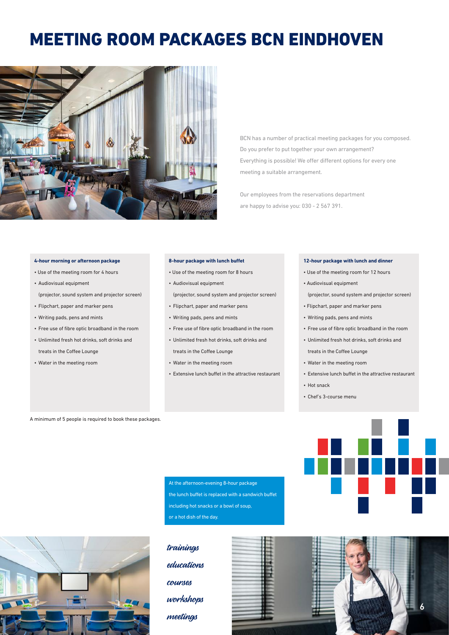### MEETING ROOM PACKAGES BCN EINDHOVEN



BCN has a number of practical meeting packages for you composed. Do you prefer to put together your own arrangement? Everything is possible! We offer different options for every one meeting a suitable arrangement.

Our employees from the reservations department are happy to advise you: 030 - 2 567 391.

#### **4-hour morning or afternoon package**

- Use of the meeting room for 4 hours
- Audiovisual equipment (projector, sound system and projector screen)
- Flipchart, paper and marker pens
- Writing pads, pens and mints
- Free use of fibre optic broadband in the room
- Unlimited fresh hot drinks, soft drinks and treats in the Coffee Lounge
- Water in the meeting room

#### **8-hour package with lunch buffet**

- Use of the meeting room for 8 hours
- Audiovisual equipment

(projector, sound system and projector screen)

- Flipchart, paper and marker pens
- Writing pads, pens and mints
- Free use of fibre optic broadband in the room
- Unlimited fresh hot drinks, soft drinks and treats in the Coffee Lounge
- Water in the meeting room
- Extensive lunch buffet in the attractive restaurant

#### **12-hour packa**

- Use of the meeting room for 12 hours
- Audiovisual equipment
- (projector, sound system and projector screen)
- Flipchart, paper and marker pens
- Writing pads, pens and mints
- Free use of fibre optic broadband in the room
- Unlimited fresh hot drinks, soft drinks and treats in the Coffee Lounge
- Water in the meeting room
- Extensive lunch buffet in the attractive restaurant
- Hot snack
- Chef's 3-course menu

A minimum of 5 people is required to book these packages.

At the afternoon-evening 8-hour package the lunch buffet is replaced with a sandwich buffet including hot snacks or a bowl of soup, or a hot dish of the day.



trainings educations courses workshops meetings